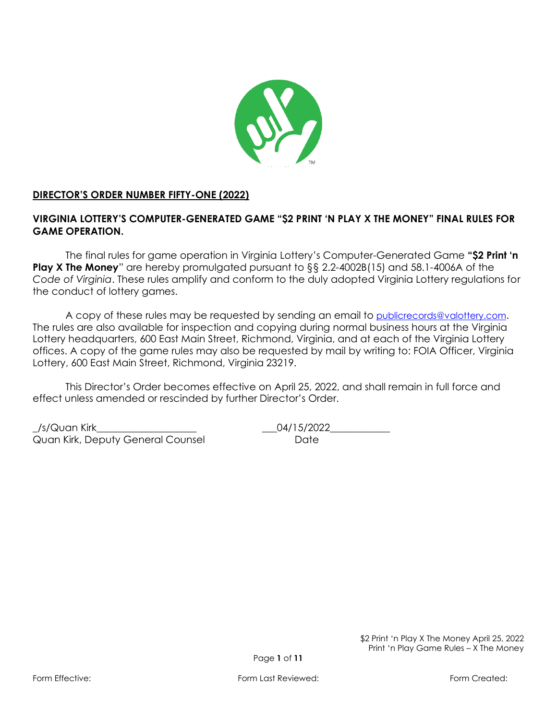

# **DIRECTOR'S ORDER NUMBER FIFTY-ONE (2022)**

# **VIRGINIA LOTTERY'S COMPUTER-GENERATED GAME "\$2 PRINT 'N PLAY X THE MONEY" FINAL RULES FOR GAME OPERATION.**

The final rules for game operation in Virginia Lottery's Computer-Generated Game **"\$2 Print 'n Play X The Money**" are hereby promulgated pursuant to §§ 2.2-4002B(15) and 58.1-4006A of the *Code of Virginia*. These rules amplify and conform to the duly adopted Virginia Lottery regulations for the conduct of lottery games.

A copy of these rules may be requested by sending an email to [publicrecords@valottery.com](mailto:PublicRecords@Valottery.com). The rules are also available for inspection and copying during normal business hours at the Virginia Lottery headquarters, 600 East Main Street, Richmond, Virginia, and at each of the Virginia Lottery offices. A copy of the game rules may also be requested by mail by writing to: FOIA Officer, Virginia Lottery, 600 East Main Street, Richmond, Virginia 23219.

This Director's Order becomes effective on April 25, 2022, and shall remain in full force and effect unless amended or rescinded by further Director's Order.

\_/s/Quan Kirk\_\_\_\_\_\_\_\_\_\_\_\_\_\_\_\_\_\_\_\_ \_\_\_04/15/2022\_\_\_\_\_\_\_\_\_\_\_\_ Quan Kirk, Deputy General Counsel **Example 20 Figure 10 Paragona** Date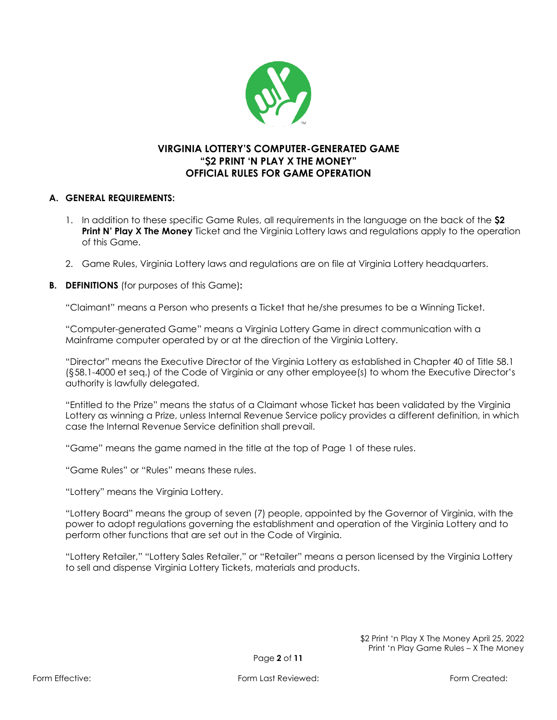

# **VIRGINIA LOTTERY'S COMPUTER-GENERATED GAME "\$2 PRINT 'N PLAY X THE MONEY" OFFICIAL RULES FOR GAME OPERATION**

#### **A. GENERAL REQUIREMENTS:**

- 1. In addition to these specific Game Rules, all requirements in the language on the back of the **\$2 Print N' Play X The Money** Ticket and the Virginia Lottery laws and regulations apply to the operation of this Game.
- 2. Game Rules, Virginia Lottery laws and regulations are on file at Virginia Lottery headquarters.
- **B. DEFINITIONS** (for purposes of this Game)**:**

"Claimant" means a Person who presents a Ticket that he/she presumes to be a Winning Ticket.

"Computer-generated Game" means a Virginia Lottery Game in direct communication with a Mainframe computer operated by or at the direction of the Virginia Lottery.

"Director" means the Executive Director of the Virginia Lottery as established in Chapter 40 of Title 58.1 (§58.1-4000 et seq.) of the Code of Virginia or any other employee(s) to whom the Executive Director's authority is lawfully delegated.

"Entitled to the Prize" means the status of a Claimant whose Ticket has been validated by the Virginia Lottery as winning a Prize, unless Internal Revenue Service policy provides a different definition, in which case the Internal Revenue Service definition shall prevail.

"Game" means the game named in the title at the top of Page 1 of these rules.

"Game Rules" or "Rules" means these rules.

"Lottery" means the Virginia Lottery.

"Lottery Board" means the group of seven (7) people, appointed by the Governor of Virginia, with the power to adopt regulations governing the establishment and operation of the Virginia Lottery and to perform other functions that are set out in the Code of Virginia.

"Lottery Retailer," "Lottery Sales Retailer," or "Retailer" means a person licensed by the Virginia Lottery to sell and dispense Virginia Lottery Tickets, materials and products.

> \$2 Print 'n Play X The Money April 25, 2022 Print 'n Play Game Rules – X The Money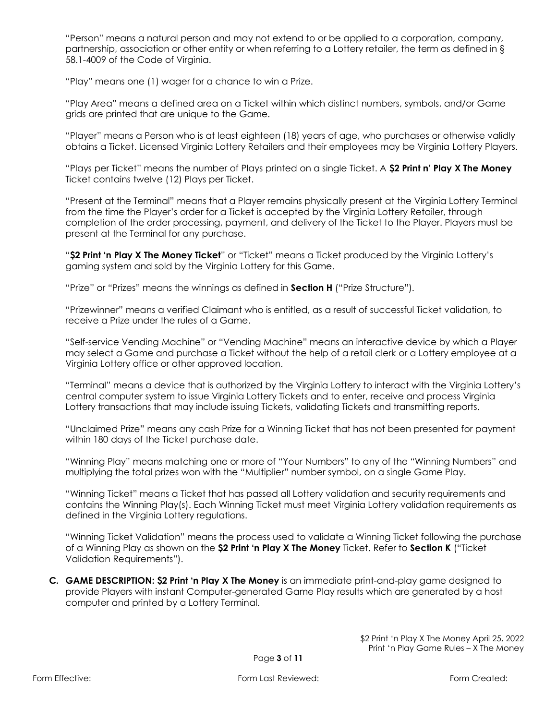"Person" means a natural person and may not extend to or be applied to a corporation, company, partnership, association or other entity or when referring to a Lottery retailer, the term as defined in § 58.1-4009 of the Code of Virginia.

"Play" means one (1) wager for a chance to win a Prize.

"Play Area" means a defined area on a Ticket within which distinct numbers, symbols, and/or Game grids are printed that are unique to the Game.

"Player" means a Person who is at least eighteen (18) years of age, who purchases or otherwise validly obtains a Ticket. Licensed Virginia Lottery Retailers and their employees may be Virginia Lottery Players.

"Plays per Ticket" means the number of Plays printed on a single Ticket. A **\$2 Print n' Play X The Money**  Ticket contains twelve (12) Plays per Ticket.

"Present at the Terminal" means that a Player remains physically present at the Virginia Lottery Terminal from the time the Player's order for a Ticket is accepted by the Virginia Lottery Retailer, through completion of the order processing, payment, and delivery of the Ticket to the Player. Players must be present at the Terminal for any purchase.

"**\$2 Print 'n Play X The Money Ticket**" or "Ticket" means a Ticket produced by the Virginia Lottery's gaming system and sold by the Virginia Lottery for this Game.

"Prize" or "Prizes" means the winnings as defined in **Section H** ("Prize Structure").

"Prizewinner" means a verified Claimant who is entitled, as a result of successful Ticket validation, to receive a Prize under the rules of a Game.

"Self-service Vending Machine" or "Vending Machine" means an interactive device by which a Player may select a Game and purchase a Ticket without the help of a retail clerk or a Lottery employee at a Virginia Lottery office or other approved location.

"Terminal" means a device that is authorized by the Virginia Lottery to interact with the Virginia Lottery's central computer system to issue Virginia Lottery Tickets and to enter, receive and process Virginia Lottery transactions that may include issuing Tickets, validating Tickets and transmitting reports.

"Unclaimed Prize" means any cash Prize for a Winning Ticket that has not been presented for payment within 180 days of the Ticket purchase date.

"Winning Play" means matching one or more of "Your Numbers" to any of the "Winning Numbers" and multiplying the total prizes won with the "Multiplier" number symbol, on a single Game Play.

"Winning Ticket" means a Ticket that has passed all Lottery validation and security requirements and contains the Winning Play(s). Each Winning Ticket must meet Virginia Lottery validation requirements as defined in the Virginia Lottery regulations.

"Winning Ticket Validation" means the process used to validate a Winning Ticket following the purchase of a Winning Play as shown on the **\$2 Print 'n Play X The Money** Ticket. Refer to **Section K** ("Ticket Validation Requirements").

**C. GAME DESCRIPTION: \$2 Print 'n Play X The Money** is an immediate print-and-play game designed to provide Players with instant Computer-generated Game Play results which are generated by a host computer and printed by a Lottery Terminal.

> \$2 Print 'n Play X The Money April 25, 2022 Print 'n Play Game Rules – X The Money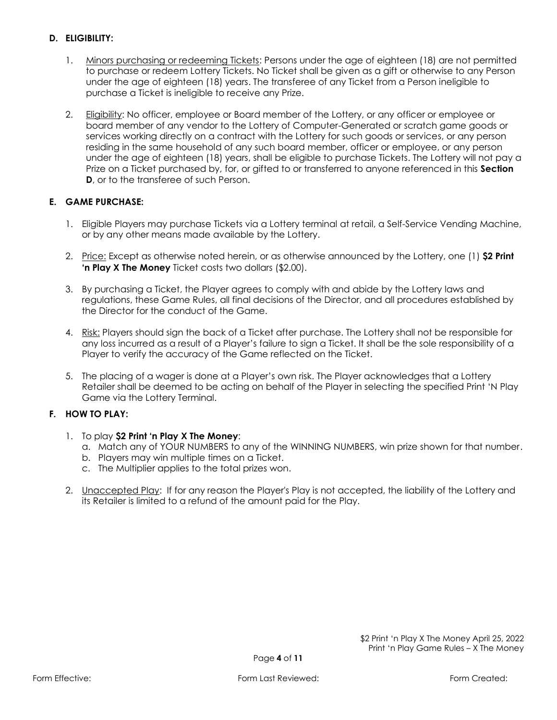# **D. ELIGIBILITY:**

- 1. Minors purchasing or redeeming Tickets: Persons under the age of eighteen (18) are not permitted to purchase or redeem Lottery Tickets. No Ticket shall be given as a gift or otherwise to any Person under the age of eighteen (18) years. The transferee of any Ticket from a Person ineligible to purchase a Ticket is ineligible to receive any Prize.
- 2. Eligibility: No officer, employee or Board member of the Lottery, or any officer or employee or board member of any vendor to the Lottery of Computer-Generated or scratch game goods or services working directly on a contract with the Lottery for such goods or services, or any person residing in the same household of any such board member, officer or employee, or any person under the age of eighteen (18) years, shall be eligible to purchase Tickets. The Lottery will not pay a Prize on a Ticket purchased by, for, or gifted to or transferred to anyone referenced in this **Section D**, or to the transferee of such Person.

# **E. GAME PURCHASE:**

- 1. Eligible Players may purchase Tickets via a Lottery terminal at retail, a Self-Service Vending Machine, or by any other means made available by the Lottery.
- 2. Price: Except as otherwise noted herein, or as otherwise announced by the Lottery, one (1) **\$2 Print 'n Play X The Money** Ticket costs two dollars (\$2.00).
- 3. By purchasing a Ticket, the Player agrees to comply with and abide by the Lottery laws and regulations, these Game Rules, all final decisions of the Director, and all procedures established by the Director for the conduct of the Game.
- 4. Risk: Players should sign the back of a Ticket after purchase. The Lottery shall not be responsible for any loss incurred as a result of a Player's failure to sign a Ticket. It shall be the sole responsibility of a Player to verify the accuracy of the Game reflected on the Ticket.
- 5. The placing of a wager is done at a Player's own risk. The Player acknowledges that a Lottery Retailer shall be deemed to be acting on behalf of the Player in selecting the specified Print 'N Play Game via the Lottery Terminal.

# **F. HOW TO PLAY:**

- 1. To play **\$2 Print 'n Play X The Money**:
	- a. Match any of YOUR NUMBERS to any of the WINNING NUMBERS, win prize shown for that number.
	- b. Players may win multiple times on a Ticket.
	- c. The Multiplier applies to the total prizes won.
- 2. Unaccepted Play: If for any reason the Player's Play is not accepted, the liability of the Lottery and its Retailer is limited to a refund of the amount paid for the Play.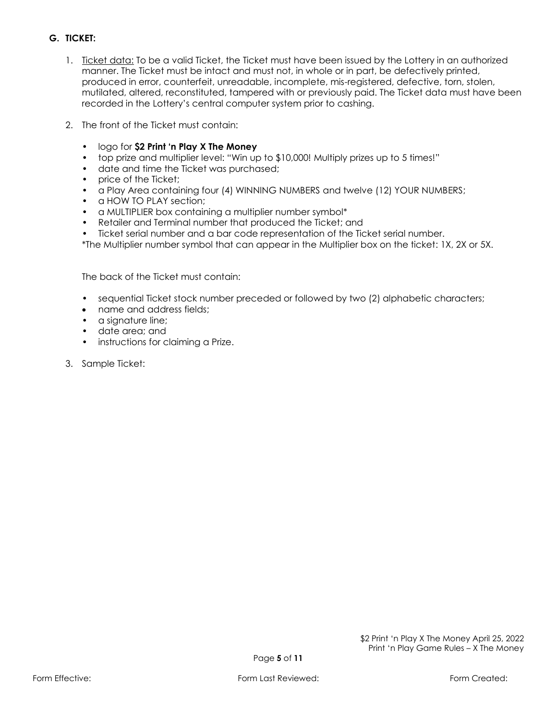# **G. TICKET:**

- 1. Ticket data: To be a valid Ticket, the Ticket must have been issued by the Lottery in an authorized manner. The Ticket must be intact and must not, in whole or in part, be defectively printed, produced in error, counterfeit, unreadable, incomplete, mis-registered, defective, torn, stolen, mutilated, altered, reconstituted, tampered with or previously paid. The Ticket data must have been recorded in the Lottery's central computer system prior to cashing.
- 2. The front of the Ticket must contain:
	- logo for **\$2 Print 'n Play X The Money**
	- top prize and multiplier level: "Win up to \$10,000! Multiply prizes up to 5 times!"
	- date and time the Ticket was purchased;
	- price of the Ticket;
	- a Play Area containing four (4) WINNING NUMBERS and twelve (12) YOUR NUMBERS;
	- a HOW TO PLAY section:
	- a MULTIPLIER box containing a multiplier number symbol\*
	- Retailer and Terminal number that produced the Ticket; and
	- Ticket serial number and a bar code representation of the Ticket serial number.
	- \*The Multiplier number symbol that can appear in the Multiplier box on the ticket: 1X, 2X or 5X.

The back of the Ticket must contain:

- sequential Ticket stock number preceded or followed by two (2) alphabetic characters;
- name and address fields;
- a signature line;
- date area; and
- instructions for claiming a Prize.
- 3. Sample Ticket: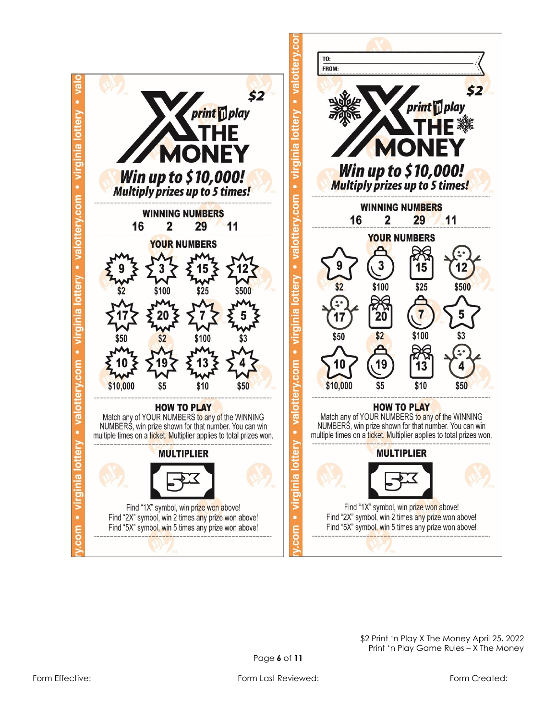

\$2 Print 'n Play X The Money April 25, 2022 Print 'n Play Game Rules – X The Money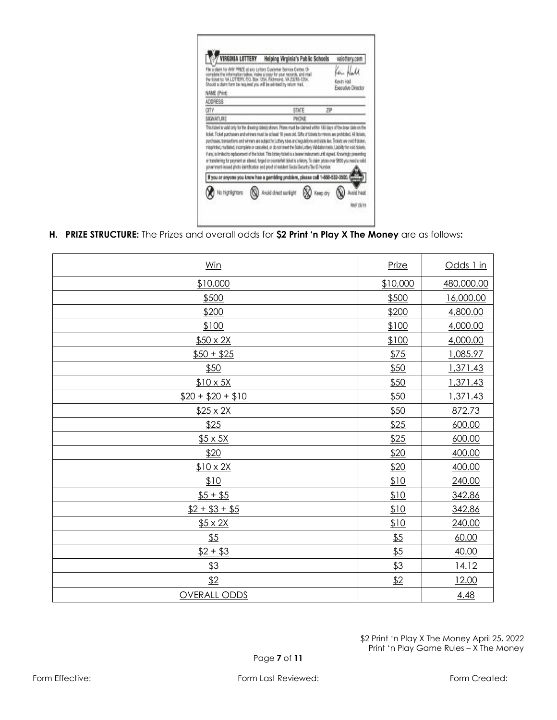| IRGINIA LOTTERY<br>the ficiout to: VA LOTTERY, P.O. Box 1254. Richmond. VA 23218-1254.<br>Should a claim form be required you will be advised by return mail. | Helping Virginia's Public Schools<br>a plans for ANY PRIZE at any Lottery Customer Bervice Center. Or<br>complete the information below, make a copy for your records, and mail                                                                                                                                                                                                                                                                                                                                                                                                                                                |          | valottery.com<br>Kevin Hall<br>Executive Director |
|---------------------------------------------------------------------------------------------------------------------------------------------------------------|--------------------------------------------------------------------------------------------------------------------------------------------------------------------------------------------------------------------------------------------------------------------------------------------------------------------------------------------------------------------------------------------------------------------------------------------------------------------------------------------------------------------------------------------------------------------------------------------------------------------------------|----------|---------------------------------------------------|
| NAME (Print)                                                                                                                                                  |                                                                                                                                                                                                                                                                                                                                                                                                                                                                                                                                                                                                                                |          |                                                   |
| ADDRESS                                                                                                                                                       |                                                                                                                                                                                                                                                                                                                                                                                                                                                                                                                                                                                                                                |          |                                                   |
| CITY                                                                                                                                                          | STATE                                                                                                                                                                                                                                                                                                                                                                                                                                                                                                                                                                                                                          | ZIP      |                                                   |
|                                                                                                                                                               |                                                                                                                                                                                                                                                                                                                                                                                                                                                                                                                                                                                                                                |          |                                                   |
| SIGNATURE                                                                                                                                                     | PHONE<br>This bidest is valid only for the drawing datelpt shown. Prizes must be claimed within 180 days of the draw date on the<br>ticket. Ticket purchasers and winners must be at least 18 years old. Cifts of tickets to minors are prohibited. All tickets,                                                                                                                                                                                                                                                                                                                                                               |          |                                                   |
|                                                                                                                                                               | purchases. transactions and winners are subject to Lottery rules and regulations and state law. Tickets are void if stolen.<br>misprinted, muritated, incomplete or cancelled, or do not meet the State Lottery Validation tests. Llability for exiditiolets,<br>If any, is limited to replacement of the fisiket. This lottery fisiket is a beane instrument until signed. Knowingly presenting<br>or transferring for payment an altered, forged or counterfeit tideat is a felony. To claim prizes over \$500 you need a raild<br>povemment-keused photo-identification and proof of resident Secial Security/Tex ID Number |          |                                                   |
|                                                                                                                                                               | If you or anyone you know has a gambling problem, please call 1-888-532-3500.                                                                                                                                                                                                                                                                                                                                                                                                                                                                                                                                                  |          |                                                   |
| lo highlighters                                                                                                                                               | <b>Hybers</b> foot a blow                                                                                                                                                                                                                                                                                                                                                                                                                                                                                                                                                                                                      | Keep dry | Avoid heat                                        |

**H. PRIZE STRUCTURE:** The Prizes and overall odds for **\$2 Print 'n Play X The Money** are as follows**:**

| Win                 | Prize    | Odds 1 in  |
|---------------------|----------|------------|
| \$10,000            | \$10,000 | 480,000.00 |
| \$500               | \$500    | 16,000.00  |
| \$200               | \$200    | 4,800.00   |
| \$100               | \$100    | 4,000.00   |
| $$50 \times 2X$     | \$100    | 4,000.00   |
| $$50 + $25$         | \$75     | 1,085.97   |
| \$50                | \$50     | 1,371.43   |
| $$10 \times 5X$     | \$50     | 1,371.43   |
| $$20 + $20 + $10$   | \$50     | 1,371.43   |
| $$25 \times 2X$     | \$50     | 872.73     |
| \$25                | \$25     | 600.00     |
| $$5 \times 5X$      | \$25     | 600.00     |
| \$20                | \$20     | 400.00     |
| $$10 \times 2X$     | \$20     | 400.00     |
| \$10                | \$10     | 240.00     |
| $$5 + $5$           | \$10     | 342.86     |
| $$2 + $3 + $5$      | \$10     | 342.86     |
| $$5 \times 2X$      | \$10     | 240.00     |
| \$5                 | \$5      | 60.00      |
| $$2 + $3$           | \$5      | 40.00      |
| \$3                 | \$3      | 14.12      |
| \$2                 | \$2      | 12.00      |
| <b>OVERALL ODDS</b> |          | 4.48       |
|                     |          |            |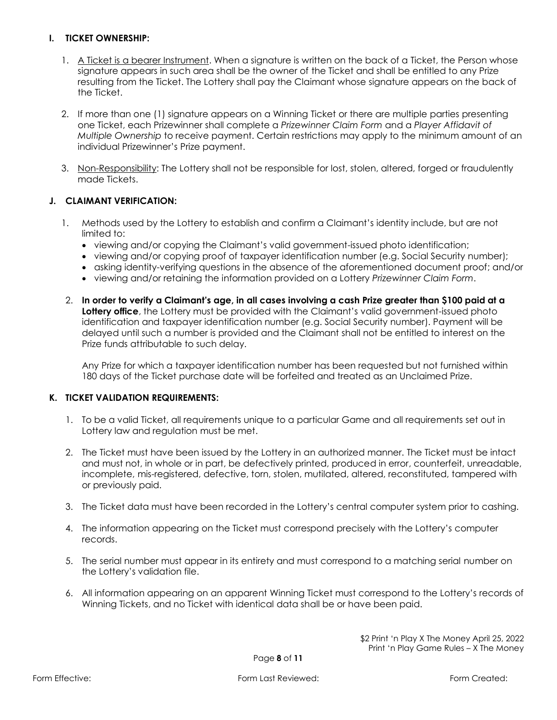#### **I. TICKET OWNERSHIP:**

- 1. A Ticket is a bearer Instrument. When a signature is written on the back of a Ticket, the Person whose signature appears in such area shall be the owner of the Ticket and shall be entitled to any Prize resulting from the Ticket. The Lottery shall pay the Claimant whose signature appears on the back of the Ticket.
- 2. If more than one (1) signature appears on a Winning Ticket or there are multiple parties presenting one Ticket, each Prizewinner shall complete a *Prizewinner Claim Form* and a *Player Affidavit of Multiple Ownership* to receive payment. Certain restrictions may apply to the minimum amount of an individual Prizewinner's Prize payment.
- 3. Non-Responsibility: The Lottery shall not be responsible for lost, stolen, altered, forged or fraudulently made Tickets.

#### **J. CLAIMANT VERIFICATION:**

- 1. Methods used by the Lottery to establish and confirm a Claimant's identity include, but are not limited to:
	- viewing and/or copying the Claimant's valid government-issued photo identification;
	- viewing and/or copying proof of taxpayer identification number (e.g. Social Security number);
	- asking identity-verifying questions in the absence of the aforementioned document proof; and/or
	- viewing and/or retaining the information provided on a Lottery *Prizewinner Claim Form*.
- 2. **In order to verify a Claimant's age, in all cases involving a cash Prize greater than \$100 paid at a Lottery office**, the Lottery must be provided with the Claimant's valid government-issued photo identification and taxpayer identification number (e.g. Social Security number). Payment will be delayed until such a number is provided and the Claimant shall not be entitled to interest on the Prize funds attributable to such delay.

Any Prize for which a taxpayer identification number has been requested but not furnished within 180 days of the Ticket purchase date will be forfeited and treated as an Unclaimed Prize.

#### **K. TICKET VALIDATION REQUIREMENTS:**

- 1. To be a valid Ticket, all requirements unique to a particular Game and all requirements set out in Lottery law and regulation must be met.
- 2. The Ticket must have been issued by the Lottery in an authorized manner. The Ticket must be intact and must not, in whole or in part, be defectively printed, produced in error, counterfeit, unreadable, incomplete, mis-registered, defective, torn, stolen, mutilated, altered, reconstituted, tampered with or previously paid.
- 3. The Ticket data must have been recorded in the Lottery's central computer system prior to cashing.
- 4. The information appearing on the Ticket must correspond precisely with the Lottery's computer records.
- 5. The serial number must appear in its entirety and must correspond to a matching serial number on the Lottery's validation file.
- 6. All information appearing on an apparent Winning Ticket must correspond to the Lottery's records of Winning Tickets, and no Ticket with identical data shall be or have been paid.

\$2 Print 'n Play X The Money April 25, 2022 Print 'n Play Game Rules – X The Money

Page **8** of **11**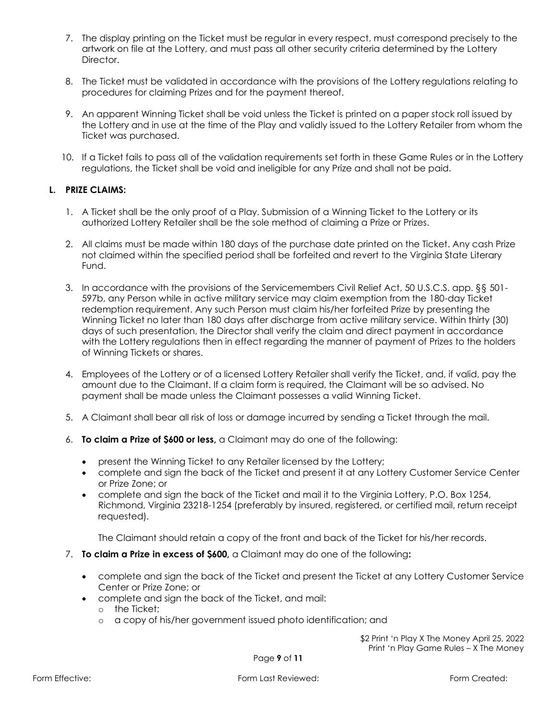- 7. The display printing on the Ticket must be regular in every respect, must correspond precisely to the artwork on file at the Lottery, and must pass all other security criteria determined by the Lottery Director.
- 8. The Ticket must be validated in accordance with the provisions of the Lottery regulations relating to procedures for claiming Prizes and for the payment thereof.
- 9. An apparent Winning Ticket shall be void unless the Ticket is printed on a paper stock roll issued by the Lottery and in use at the time of the Play and validly issued to the Lottery Retailer from whom the Ticket was purchased.
- 10. If a Ticket fails to pass all of the validation requirements set forth in these Game Rules or in the Lottery regulations, the Ticket shall be void and ineligible for any Prize and shall not be paid.

#### **L. PRIZE CLAIMS:**

- 1. A Ticket shall be the only proof of a Play. Submission of a Winning Ticket to the Lottery or its authorized Lottery Retailer shall be the sole method of claiming a Prize or Prizes.
- 2. All claims must be made within 180 days of the purchase date printed on the Ticket. Any cash Prize not claimed within the specified period shall be forfeited and revert to the Virginia State Literary Fund.
- 3. In accordance with the provisions of the Servicemembers Civil Relief Act, 50 U.S.C.S. app. §§ 501- 597b, any Person while in active military service may claim exemption from the 180-day Ticket redemption requirement. Any such Person must claim his/her forfeited Prize by presenting the Winning Ticket no later than 180 days after discharge from active military service. Within thirty (30) days of such presentation, the Director shall verify the claim and direct payment in accordance with the Lottery regulations then in effect regarding the manner of payment of Prizes to the holders of Winning Tickets or shares.
- 4. Employees of the Lottery or of a licensed Lottery Retailer shall verify the Ticket, and, if valid, pay the amount due to the Claimant. If a claim form is required, the Claimant will be so advised. No payment shall be made unless the Claimant possesses a valid Winning Ticket.
- 5. A Claimant shall bear all risk of loss or damage incurred by sending a Ticket through the mail.
- 6. **To claim a Prize of \$600 or less,** a Claimant may do one of the following:
	- present the Winning Ticket to any Retailer licensed by the Lottery;
	- complete and sign the back of the Ticket and present it at any Lottery Customer Service Center or Prize Zone; or
	- complete and sign the back of the Ticket and mail it to the Virginia Lottery, P.O. Box 1254, Richmond, Virginia 23218-1254 (preferably by insured, registered, or certified mail, return receipt requested).

The Claimant should retain a copy of the front and back of the Ticket for his/her records.

- 7. **To claim a Prize in excess of \$600,** a Claimant may do one of the following**:**
	- complete and sign the back of the Ticket and present the Ticket at any Lottery Customer Service Center or Prize Zone; or
	- complete and sign the back of the Ticket, and mail:
		- o the Ticket;
		- o a copy of his/her government issued photo identification; and

\$2 Print 'n Play X The Money April 25, 2022 Print 'n Play Game Rules – X The Money

Page **9** of **11**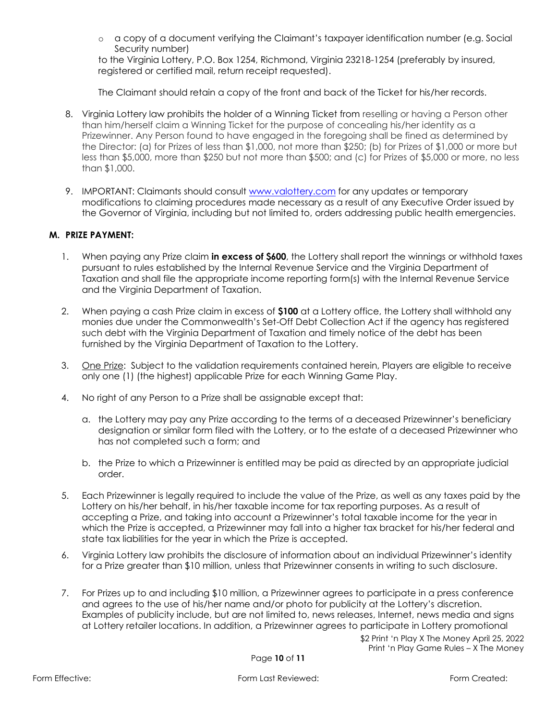o a copy of a document verifying the Claimant's taxpayer identification number (e.g. Social Security number)

to the Virginia Lottery, P.O. Box 1254, Richmond, Virginia 23218-1254 (preferably by insured, registered or certified mail, return receipt requested).

The Claimant should retain a copy of the front and back of the Ticket for his/her records.

- 8. Virginia Lottery law prohibits the holder of a Winning Ticket from reselling or having a Person other than him/herself claim a Winning Ticket for the purpose of concealing his/her identity as a Prizewinner. Any Person found to have engaged in the foregoing shall be fined as determined by the Director: (a) for Prizes of less than \$1,000, not more than \$250; (b) for Prizes of \$1,000 or more but less than \$5,000, more than \$250 but not more than \$500; and (c) for Prizes of \$5,000 or more, no less than \$1,000.
- 9. IMPORTANT: Claimants should consult [www.valottery.com](https://www.valottery.com/) for any updates or temporary modifications to claiming procedures made necessary as a result of any Executive Order issued by the Governor of Virginia, including but not limited to, orders addressing public health emergencies.

#### **M. PRIZE PAYMENT:**

- 1. When paying any Prize claim **in excess of \$600**, the Lottery shall report the winnings or withhold taxes pursuant to rules established by the Internal Revenue Service and the Virginia Department of Taxation and shall file the appropriate income reporting form(s) with the Internal Revenue Service and the Virginia Department of Taxation.
- 2. When paying a cash Prize claim in excess of **\$100** at a Lottery office, the Lottery shall withhold any monies due under the Commonwealth's Set-Off Debt Collection Act if the agency has registered such debt with the Virginia Department of Taxation and timely notice of the debt has been furnished by the Virginia Department of Taxation to the Lottery.
- 3. One Prize: Subject to the validation requirements contained herein, Players are eligible to receive only one (1) (the highest) applicable Prize for each Winning Game Play.
- 4. No right of any Person to a Prize shall be assignable except that:
	- a. the Lottery may pay any Prize according to the terms of a deceased Prizewinner's beneficiary designation or similar form filed with the Lottery, or to the estate of a deceased Prizewinner who has not completed such a form; and
	- b. the Prize to which a Prizewinner is entitled may be paid as directed by an appropriate judicial order.
- 5. Each Prizewinner is legally required to include the value of the Prize, as well as any taxes paid by the Lottery on his/her behalf, in his/her taxable income for tax reporting purposes. As a result of accepting a Prize, and taking into account a Prizewinner's total taxable income for the year in which the Prize is accepted, a Prizewinner may fall into a higher tax bracket for his/her federal and state tax liabilities for the year in which the Prize is accepted.
- 6. Virginia Lottery law prohibits the disclosure of information about an individual Prizewinner's identity for a Prize greater than \$10 million, unless that Prizewinner consents in writing to such disclosure.
- 7. For Prizes up to and including \$10 million, a Prizewinner agrees to participate in a press conference and agrees to the use of his/her name and/or photo for publicity at the Lottery's discretion. Examples of publicity include, but are not limited to, news releases, Internet, news media and signs at Lottery retailer locations. In addition, a Prizewinner agrees to participate in Lottery promotional

\$2 Print 'n Play X The Money April 25, 2022 Print 'n Play Game Rules – X The Money

Page **10** of **11**